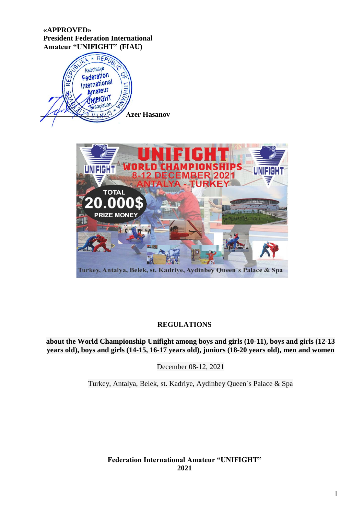## **«APPROVED» President Federation International Amateur "UNIFIGHT" (FIAU)**





# **REGULATIONS**

**about the World Championship Unifight among boys and girls (10-11), boys and girls (12-13 years old), boys and girls (14-15, 16-17 years old), juniors (18-20 years old), men and women** 

December 08-12, 2021

Turkey, Antalya, Belek, st. Kadriye, Aydinbey Queen`s Palace & Spa

**Federation International Amateur "UNIFIGHT" 2021**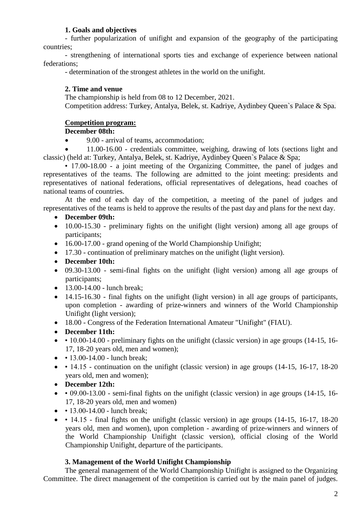# **1. Goals and objectives**

- further popularization of unifight and expansion of the geography of the participating countries;

- strengthening of international sports ties and exchange of experience between national federations;

- determination of the strongest athletes in the world on the unifight.

# **2. Time and venue**

The championship is held from 08 to 12 December, 2021.

Competition address: Turkey, Antalya, Belek, st. Kadriye, Aydinbey Queen`s Palace & Spa.

# **Competition program:**

# **December 08th:**

9.00 - arrival of teams, accommodation;

 11.00-16.00 - credentials committee, weighing, drawing of lots (sections light and classic) (held at: Turkey, Antalya, Belek, st. Kadriye, Aydinbey Queen`s Palace & Spa;

• 17.00-18.00 - a joint meeting of the Organizing Committee, the panel of judges and representatives of the teams. The following are admitted to the joint meeting: presidents and representatives of national federations, official representatives of delegations, head coaches of national teams of countries.

At the end of each day of the competition, a meeting of the panel of judges and representatives of the teams is held to approve the results of the past day and plans for the next day.

- **December 09th:**
- 10.00-15.30 preliminary fights on the unifight (light version) among all age groups of participants;
- 16.00-17.00 grand opening of the World Championship Unifight;
- 17.30 continuation of preliminary matches on the unifight (light version).
- **December 10th:**
- 09.30-13.00 semi-final fights on the unifight (light version) among all age groups of participants;
- 13.00-14.00 lunch break;
- 14.15-16.30 final fights on the unifight (light version) in all age groups of participants, upon completion - awarding of prize-winners and winners of the World Championship Unifight (light version);
- 18.00 Congress of the Federation International Amateur "Unifight" (FIAU).
- **December 11th:**
- 10.00-14.00 preliminary fights on the unifight (classic version) in age groups (14-15, 16-17, 18-20 years old, men and women);
- $\cdot$  13.00-14.00 lunch break;
- $\cdot$  14.15 continuation on the unifight (classic version) in age groups (14-15, 16-17, 18-20 years old, men and women);
- **December 12th:**
- $\bullet$   $\bullet$  09.00-13.00 semi-final fights on the unifight (classic version) in age groups (14-15, 16-17, 18-20 years old, men and women)
- $\cdot$  13.00-14.00 lunch break;
- $\bullet$   $\bullet$  14.15 final fights on the unifight (classic version) in age groups (14-15, 16-17, 18-20) years old, men and women), upon completion - awarding of prize-winners and winners of the World Championship Unifight (classic version), official closing of the World Championship Unifight, departure of the participants.

# **3. Management of the World Unifight Championship**

The general management of the World Championship Unifight is assigned to the Organizing Committee. The direct management of the competition is carried out by the main panel of judges.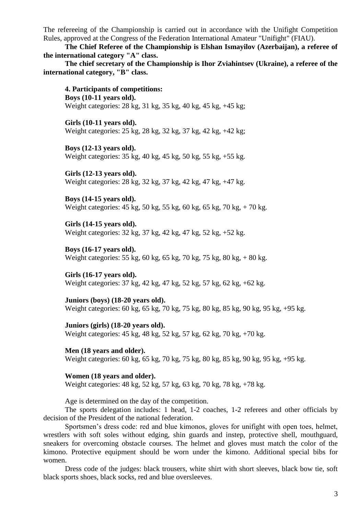The refereeing of the Championship is carried out in accordance with the Unifight Competition Rules, approved at the Congress of the Federation International Amateur "Unifight" (FIAU).

**The Chief Referee of the Championship is Elshan Ismayilov (Azerbaijan), a referee of the international category "A" class.**

**The chief secretary of the Championship is Ihor Zviahintsev (Ukraine), a referee of the international category, "B" class.**

**4. Participants of competitions: Boys (10-11 years old).** Weight categories: 28 kg, 31 kg, 35 kg, 40 kg, 45 kg, +45 kg;

**Girls (10-11 years old).** Weight categories: 25 kg, 28 kg, 32 kg, 37 kg, 42 kg, +42 kg;

**Boys (12-13 years old).** Weight categories: 35 kg, 40 kg, 45 kg, 50 kg, 55 kg, +55 kg.

**Girls (12-13 years old).** Weight categories: 28 kg, 32 kg, 37 kg, 42 kg, 47 kg, +47 kg.

**Boys (14-15 years old).** Weight categories: 45 kg, 50 kg, 55 kg, 60 kg, 65 kg, 70 kg, + 70 kg.

**Girls (14-15 years old).** Weight categories: 32 kg, 37 kg, 42 kg, 47 kg, 52 kg, +52 kg.

**Boys (16-17 years old).** Weight categories: 55 kg, 60 kg, 65 kg, 70 kg, 75 kg, 80 kg, + 80 kg.

**Girls (16-17 years old).** Weight categories: 37 kg, 42 kg, 47 kg, 52 kg, 57 kg, 62 kg, +62 kg.

**Juniors (boys) (18-20 years old).** Weight categories: 60 kg, 65 kg, 70 kg, 75 kg, 80 kg, 85 kg, 90 kg, 95 kg, +95 kg.

**Juniors (girls) (18-20 years old).** Weight categories: 45 kg, 48 kg, 52 kg, 57 kg, 62 kg, 70 kg, +70 kg.

**Men (18 years and older).** Weight categories: 60 kg, 65 kg, 70 kg, 75 kg, 80 kg, 85 kg, 90 kg, 95 kg, +95 kg.

**Women (18 years and older).** Weight categories: 48 kg, 52 kg, 57 kg, 63 kg, 70 kg, 78 kg, +78 kg.

Age is determined on the day of the competition.

The sports delegation includes: 1 head, 1-2 coaches, 1-2 referees and other officials by decision of the President of the national federation.

Sportsmen's dress code: red and blue kimonos, gloves for unifight with open toes, helmet, wrestlers with soft soles without edging, shin guards and instep, protective shell, mouthguard, sneakers for overcoming obstacle courses. The helmet and gloves must match the color of the kimono. Protective equipment should be worn under the kimono. Additional special bibs for women.

Dress code of the judges: black trousers, white shirt with short sleeves, black bow tie, soft black sports shoes, black socks, red and blue oversleeves.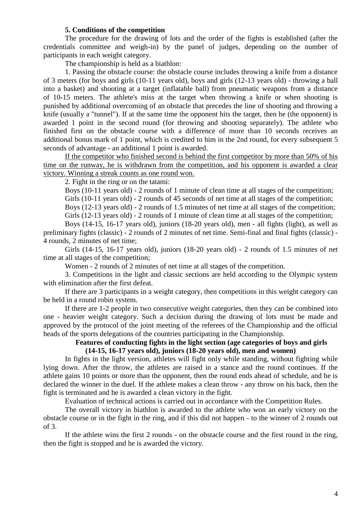### **5. Conditions of the competition**

The procedure for the drawing of lots and the order of the fights is established (after the credentials committee and weigh-in) by the panel of judges, depending on the number of participants in each weight category.

The championship is held as a biathlon:

1. Passing the obstacle course: the obstacle course includes throwing a knife from a distance of 3 meters (for boys and girls (10-11 years old), boys and girls (12-13 years old) - throwing a ball into a basket) and shooting at a target (inflatable ball) from pneumatic weapons from a distance of 10-15 meters. The athlete's miss at the target when throwing a knife or when shooting is punished by additional overcoming of an obstacle that precedes the line of shooting and throwing a knife (usually a "tunnel"). If at the same time the opponent hits the target, then he (the opponent) is awarded 1 point in the second round (for throwing and shooting separately). The athlete who finished first on the obstacle course with a difference of more than 10 seconds receives an additional bonus mark of 1 point, which is credited to him in the 2nd round, for every subsequent 5 seconds of advantage - an additional 1 point is awarded.

If the competitor who finished second is behind the first competitor by more than 50% of his time on the runway, he is withdrawn from the competition, and his opponent is awarded a clear victory. Winning a streak counts as one round won.

2. Fight in the ring or on the tatami:

Boys (10-11 years old) - 2 rounds of 1 minute of clean time at all stages of the competition;

Girls (10-11 years old) - 2 rounds of 45 seconds of net time at all stages of the competition;

Boys (12-13 years old) - 2 rounds of 1.5 minutes of net time at all stages of the competition; Girls (12-13 years old) - 2 rounds of 1 minute of clean time at all stages of the competition;

Boys (14-15, 16-17 years old), juniors (18-20 years old), men - all fights (light), as well as preliminary fights (classic) - 2 rounds of 2 minutes of net time. Semi-final and final fights (classic) - 4 rounds, 2 minutes of net time;

Girls (14-15, 16-17 years old), juniors (18-20 years old) - 2 rounds of 1.5 minutes of net time at all stages of the competition;

Women - 2 rounds of 2 minutes of net time at all stages of the competition.

3. Competitions in the light and classic sections are held according to the Olympic system with elimination after the first defeat.

If there are 3 participants in a weight category, then competitions in this weight category can be held in a round robin system.

If there are 1-2 people in two consecutive weight categories, then they can be combined into one - heavier weight category. Such a decision during the drawing of lots must be made and approved by the protocol of the joint meeting of the referees of the Championship and the official heads of the sports delegations of the countries participating in the Championship.

### **Features of conducting fights in the light section (age categories of boys and girls (14-15, 16-17 years old), juniors (18-20 years old), men and women)**

In fights in the light version, athletes will fight only while standing, without fighting while lying down. After the throw, the athletes are raised in a stance and the round continues. If the athlete gains 10 points or more than the opponent, then the round ends ahead of schedule, and he is declared the winner in the duel. If the athlete makes a clean throw - any throw on his back, then the fight is terminated and he is awarded a clean victory in the fight.

Evaluation of technical actions is carried out in accordance with the Competition Rules.

The overall victory in biathlon is awarded to the athlete who won an early victory on the obstacle course or in the fight in the ring, and if this did not happen - to the winner of 2 rounds out of 3.

If the athlete wins the first 2 rounds - on the obstacle course and the first round in the ring, then the fight is stopped and he is awarded the victory.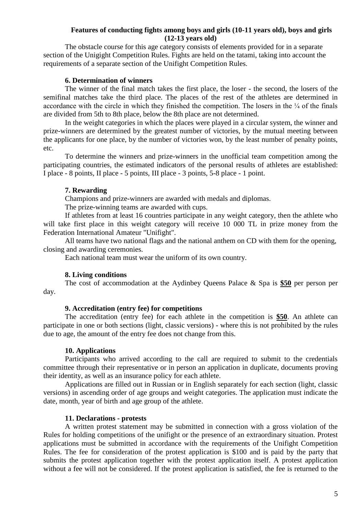### **Features of conducting fights among boys and girls (10-11 years old), boys and girls (12-13 years old)**

The obstacle course for this age category consists of elements provided for in a separate section of the Unigight Competition Rules. Fights are held on the tatami, taking into account the requirements of a separate section of the Unifight Competition Rules.

### **6. Determination of winners**

The winner of the final match takes the first place, the loser - the second, the losers of the semifinal matches take the third place. The places of the rest of the athletes are determined in accordance with the circle in which they finished the competition. The losers in the  $\frac{1}{4}$  of the finals are divided from 5th to 8th place, below the 8th place are not determined.

In the weight categories in which the places were played in a circular system, the winner and prize-winners are determined by the greatest number of victories, by the mutual meeting between the applicants for one place, by the number of victories won, by the least number of penalty points, etc.

To determine the winners and prize-winners in the unofficial team competition among the participating countries, the estimated indicators of the personal results of athletes are established: I place - 8 points, II place - 5 points, III place - 3 points, 5-8 place - 1 point.

#### **7. Rewarding**

Champions and prize-winners are awarded with medals and diplomas.

The prize-winning teams are awarded with cups.

If athletes from at least 16 countries participate in any weight category, then the athlete who will take first place in this weight category will receive 10 000 TL in prize money from the Federation International Amateur "Unifight".

All teams have two national flags and the national anthem on CD with them for the opening, closing and awarding ceremonies.

Each national team must wear the uniform of its own country.

### **8. Living conditions**

The cost of accommodation at the Aydinbey Queens Palace & Spa is **\$50** per person per day.

### **9. Accreditation (entry fee) for competitions**

The accreditation (entry fee) for each athlete in the competition is **\$50**. An athlete can participate in one or both sections (light, classic versions) - where this is not prohibited by the rules due to age, the amount of the entry fee does not change from this.

#### **10. Applications**

Participants who arrived according to the call are required to submit to the credentials committee through their representative or in person an application in duplicate, documents proving their identity, as well as an insurance policy for each athlete.

Applications are filled out in Russian or in English separately for each section (light, classic versions) in ascending order of age groups and weight categories. The application must indicate the date, month, year of birth and age group of the athlete.

### **11. Declarations - protests**

A written protest statement may be submitted in connection with a gross violation of the Rules for holding competitions of the unifight or the presence of an extraordinary situation. Protest applications must be submitted in accordance with the requirements of the Unifight Competition Rules. The fee for consideration of the protest application is \$100 and is paid by the party that submits the protest application together with the protest application itself. A protest application without a fee will not be considered. If the protest application is satisfied, the fee is returned to the